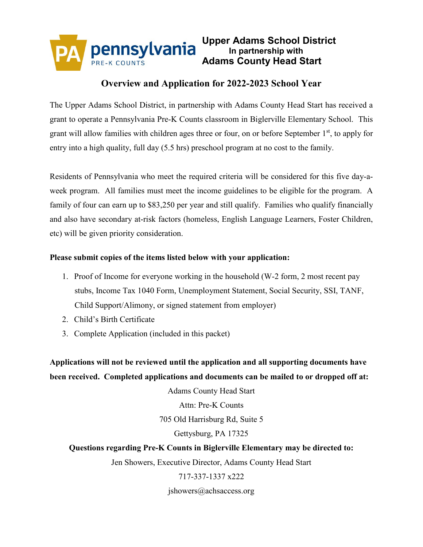

## **Overview and Application for 2022-2023 School Year**

The Upper Adams School District, in partnership with Adams County Head Start has received a grant to operate a Pennsylvania Pre-K Counts classroom in Biglerville Elementary School. This grant will allow families with children ages three or four, on or before September  $1<sup>st</sup>$ , to apply for entry into a high quality, full day (5.5 hrs) preschool program at no cost to the family.

Residents of Pennsylvania who meet the required criteria will be considered for this five day-aweek program. All families must meet the income guidelines to be eligible for the program. A family of four can earn up to \$83,250 per year and still qualify. Families who qualify financially and also have secondary at-risk factors (homeless, English Language Learners, Foster Children, etc) will be given priority consideration.

### **Please submit copies of the items listed below with your application:**

- 1. Proof of Income for everyone working in the household (W-2 form, 2 most recent pay stubs, Income Tax 1040 Form, Unemployment Statement, Social Security, SSI, TANF, Child Support/Alimony, or signed statement from employer)
- 2. Child's Birth Certificate
- 3. Complete Application (included in this packet)

**Applications will not be reviewed until the application and all supporting documents have been received. Completed applications and documents can be mailed to or dropped off at:**

Adams County Head Start

Attn: Pre-K Counts

705 Old Harrisburg Rd, Suite 5

### Gettysburg, PA 17325

## **Questions regarding Pre-K Counts in Biglerville Elementary may be directed to:**

Jen Showers, Executive Director, Adams County Head Start

### 717-337-1337 x222

jshowers@achsaccess.org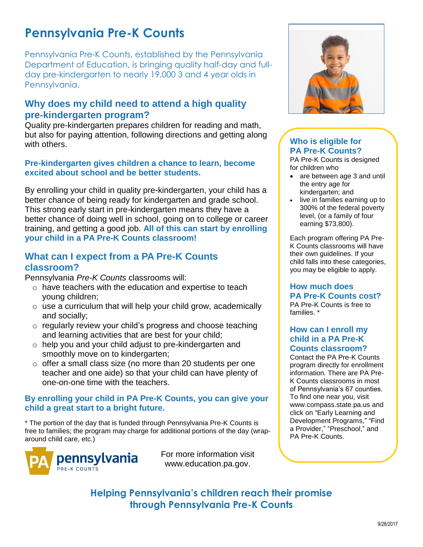# **Pennsylvania Pre-K Counts**

Pennsylvania Pre-K Counts, established by the Pennsylvania Department of Education, is bringing quality half-day and fullday pre-kindergarten to nearly 19,000 3 and 4 year olds in Pennsylvania.

## **Why does my child need to attend a high quality pre-kindergarten program?**

Quality pre-kindergarten prepares children for reading and math, but also for paying attention, following directions and getting along with others.

### **Pre-kindergarten gives children a chance to learn, become excited about school and be better students.**

By enrolling your child in quality pre-kindergarten, your child has a better chance of being ready for kindergarten and grade school. This strong early start in pre-kindergarten means they have a better chance of doing well in school, going on to college or career training, and getting a good job. **All of this can start by enrolling your child in a PA Pre-K Counts classroom!**

## **What can I expect from a PA Pre-K Counts classroom?**

Pennsylvania *Pre-K Counts* classrooms will:

- o have teachers with the education and expertise to teach young children;
- $\circ$  use a curriculum that will help your child grow, academically and socially;
- o regularly review your child's progress and choose teaching and learning activities that are best for your child;
- o help you and your child adjust to pre-kindergarten and smoothly move on to kindergarten;
- o offer a small class size (no more than 20 students per one teacher and one aide) so that your child can have plenty of one-on-one time with the teachers.

### **By enrolling your child in PA Pre-K Counts, you can give your child a great start to a bright future.**

\* The portion of the day that is funded through Pennsylvania Pre-K Counts is free to families; the program may charge for additional portions of the day (wraparound child care, etc.)



For more information visit www.education.pa.gov.



## **Who is eligible for PA Pre-K Counts?**

PA Pre-K Counts is designed for children who

- are between age 3 and until the entry age for kindergarten; and
- live in families earning up to 300% of the federal poverty level, (or a family of four earning \$73,800).

Each program offering PA Pre-K Counts classrooms will have their own guidelines. If your child falls into these categories, you may be eligible to apply.

## **How much does PA Pre-K Counts cost?**

PA Pre-K Counts is free to families. \*

## **How can I enroll my child in a PA Pre-K Counts classroom?**

Contact the PA Pre-K Counts program directly for enrollment information. There are PA Pre-K Counts classrooms in most of Pennsylvania's 67 counties. To find one near you, visit www.compass.state.pa.us and click on "Early Learning and Development Programs," "Find a Provider," "Preschool," and PA Pre-K Counts.

**Helping Pennsylvania's children reach their promise through Pennsylvania Pre-K Counts**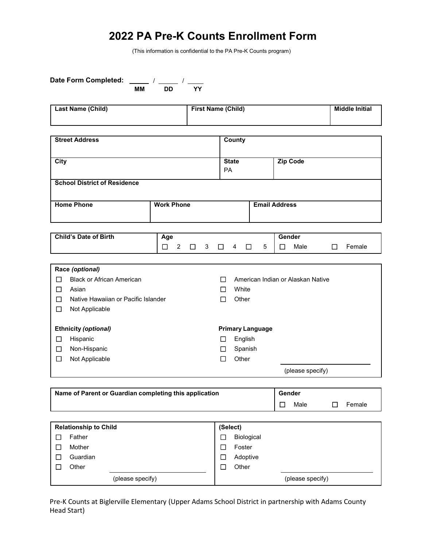## **2022 PA Pre-K Counts Enrollment Form**

(This information is confidential to the PA Pre-K Counts program)

| Date Form Completed: _____ / ____ / ____<br><b>MM</b>                                                                                               | <b>DD</b><br><b>YY</b>                    |                                                                       |                                   |                       |
|-----------------------------------------------------------------------------------------------------------------------------------------------------|-------------------------------------------|-----------------------------------------------------------------------|-----------------------------------|-----------------------|
| Last Name (Child)                                                                                                                                   |                                           | <b>First Name (Child)</b>                                             |                                   | <b>Middle Initial</b> |
| <b>Street Address</b>                                                                                                                               |                                           | <b>County</b>                                                         |                                   |                       |
| <b>City</b>                                                                                                                                         |                                           | <b>State</b><br><b>PA</b>                                             | <b>Zip Code</b>                   |                       |
| <b>School District of Residence</b>                                                                                                                 |                                           |                                                                       |                                   |                       |
| <b>Home Phone</b>                                                                                                                                   | <b>Work Phone</b>                         |                                                                       | <b>Email Address</b>              |                       |
| <b>Child's Date of Birth</b>                                                                                                                        | Age<br>$\overline{2}$<br>□<br>$\Box$<br>3 | 5<br>$\Box$<br>4<br>$\Box$                                            | Gender<br>Male<br>$\Box$          | Female<br>□           |
| Race (optional)<br><b>Black or African American</b><br>$\Box$<br>Asian<br>◻<br>Native Hawaiian or Pacific Islander<br>□<br>$\Box$<br>Not Applicable |                                           | П<br>White<br>П<br>Other<br>$\Box$                                    | American Indian or Alaskan Native |                       |
| <b>Ethnicity (optional)</b><br>Hispanic<br>□<br>Non-Hispanic<br>$\Box$<br>Not Applicable<br>$\Box$                                                  |                                           | <b>Primary Language</b><br>English<br>□<br>Spanish<br>ப<br>Other<br>□ | (please specify)                  |                       |
| Name of Parent or Guardian completing this application                                                                                              |                                           |                                                                       | Gender<br>Male<br>□               | Female<br>$\Box$      |
| <b>Relationship to Child</b><br>Father<br>$\Box$<br>Mother<br>□<br>Guardian<br>$\Box$                                                               |                                           | (Select)<br>Biological<br>□<br>Foster<br>□<br>Adoptive<br>$\Box$      |                                   |                       |
| Other<br>□                                                                                                                                          |                                           | Other<br>$\Box$                                                       |                                   |                       |

Pre-K Counts at Biglerville Elementary (Upper Adams School District in partnership with Adams County Head Start)

(please specify) (please specify)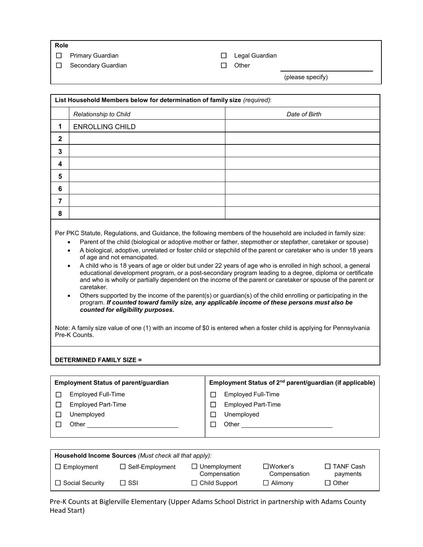**Role**

☐ Primary Guardian ☐ Legal Guardian

☐ Secondary Guardian ☐ Other

(please specify)

|                                                                                                                                                                                                                                                                                                                                                                                                                                                                                                                                                                                                                                                                                                                                                                                                                                                                                                                      | List Household Members below for determination of family size (required): |                                                                      |  |
|----------------------------------------------------------------------------------------------------------------------------------------------------------------------------------------------------------------------------------------------------------------------------------------------------------------------------------------------------------------------------------------------------------------------------------------------------------------------------------------------------------------------------------------------------------------------------------------------------------------------------------------------------------------------------------------------------------------------------------------------------------------------------------------------------------------------------------------------------------------------------------------------------------------------|---------------------------------------------------------------------------|----------------------------------------------------------------------|--|
|                                                                                                                                                                                                                                                                                                                                                                                                                                                                                                                                                                                                                                                                                                                                                                                                                                                                                                                      | Relationship to Child                                                     | Date of Birth                                                        |  |
| 1                                                                                                                                                                                                                                                                                                                                                                                                                                                                                                                                                                                                                                                                                                                                                                                                                                                                                                                    | <b>ENROLLING CHILD</b>                                                    |                                                                      |  |
| $\mathbf{2}$                                                                                                                                                                                                                                                                                                                                                                                                                                                                                                                                                                                                                                                                                                                                                                                                                                                                                                         |                                                                           |                                                                      |  |
| 3                                                                                                                                                                                                                                                                                                                                                                                                                                                                                                                                                                                                                                                                                                                                                                                                                                                                                                                    |                                                                           |                                                                      |  |
| 4                                                                                                                                                                                                                                                                                                                                                                                                                                                                                                                                                                                                                                                                                                                                                                                                                                                                                                                    |                                                                           |                                                                      |  |
| 5                                                                                                                                                                                                                                                                                                                                                                                                                                                                                                                                                                                                                                                                                                                                                                                                                                                                                                                    |                                                                           |                                                                      |  |
|                                                                                                                                                                                                                                                                                                                                                                                                                                                                                                                                                                                                                                                                                                                                                                                                                                                                                                                      |                                                                           |                                                                      |  |
| 6                                                                                                                                                                                                                                                                                                                                                                                                                                                                                                                                                                                                                                                                                                                                                                                                                                                                                                                    |                                                                           |                                                                      |  |
| 7                                                                                                                                                                                                                                                                                                                                                                                                                                                                                                                                                                                                                                                                                                                                                                                                                                                                                                                    |                                                                           |                                                                      |  |
| 8                                                                                                                                                                                                                                                                                                                                                                                                                                                                                                                                                                                                                                                                                                                                                                                                                                                                                                                    |                                                                           |                                                                      |  |
| A biological, adoptive, unrelated or foster child or stepchild of the parent or caretaker who is under 18 years<br>of age and not emancipated.<br>A child who is 18 years of age or older but under 22 years of age who is enrolled in high school, a general<br>$\bullet$<br>educational development program, or a post-secondary program leading to a degree, diploma or certificate<br>and who is wholly or partially dependent on the income of the parent or caretaker or spouse of the parent or<br>caretaker.<br>Others supported by the income of the parent(s) or guardian(s) of the child enrolling or participating in the<br>program. If counted toward family size, any applicable income of these persons must also be<br>counted for eligibility purposes.<br>Note: A family size value of one (1) with an income of \$0 is entered when a foster child is applying for Pennsylvania<br>Pre-K Counts. |                                                                           |                                                                      |  |
| <b>DETERMINED FAMILY SIZE =</b>                                                                                                                                                                                                                                                                                                                                                                                                                                                                                                                                                                                                                                                                                                                                                                                                                                                                                      |                                                                           |                                                                      |  |
|                                                                                                                                                                                                                                                                                                                                                                                                                                                                                                                                                                                                                                                                                                                                                                                                                                                                                                                      | Employment Status of parent/guardian                                      | Employment Status of 2 <sup>nd</sup> parent/guardian (if applicable) |  |
| □                                                                                                                                                                                                                                                                                                                                                                                                                                                                                                                                                                                                                                                                                                                                                                                                                                                                                                                    | Employed Full-Time                                                        | Employed Full-Time<br>$\Box$                                         |  |
| □                                                                                                                                                                                                                                                                                                                                                                                                                                                                                                                                                                                                                                                                                                                                                                                                                                                                                                                    | <b>Employed Part-Time</b>                                                 | <b>Employed Part-Time</b><br>$\Box$                                  |  |
| $\Box$                                                                                                                                                                                                                                                                                                                                                                                                                                                                                                                                                                                                                                                                                                                                                                                                                                                                                                               | Unemployed                                                                | Unemployed<br>□                                                      |  |
| $\Box$                                                                                                                                                                                                                                                                                                                                                                                                                                                                                                                                                                                                                                                                                                                                                                                                                                                                                                               | Other_                                                                    | $\Box$<br>Other_                                                     |  |

| Household Income Sources (Must check all that apply): |                        |                                     |                           |                              |
|-------------------------------------------------------|------------------------|-------------------------------------|---------------------------|------------------------------|
| $\Box$ Employment                                     | $\Box$ Self-Employment | $\Box$ Unemployment<br>Compensation | ∃Worker's<br>Compensation | $\Box$ TANF Cash<br>payments |
| □ Social Security                                     | וSSI ⊡                 | $\Box$ Child Support                | $\Box$ Alimony            | _] Other                     |

Pre-K Counts at Biglerville Elementary (Upper Adams School District in partnership with Adams County Head Start)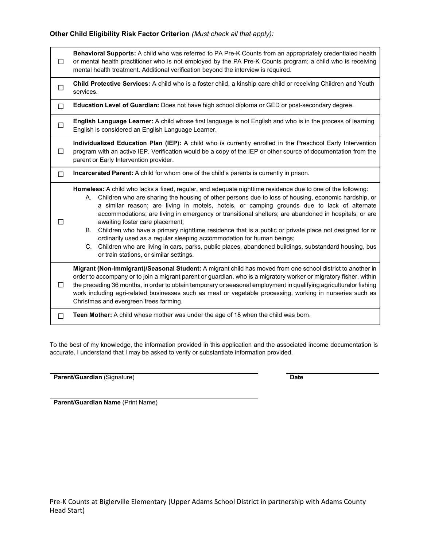### **Other Child Eligibility Risk Factor Criterion** *(Must check all that apply):*

| □ | Behavioral Supports: A child who was referred to PA Pre-K Counts from an appropriately credentialed health<br>or mental health practitioner who is not employed by the PA Pre-K Counts program; a child who is receiving<br>mental health treatment. Additional verification beyond the interview is required.                                                                                                                                                                                                                                                                                                                                                                                                                                                                                                   |  |  |
|---|------------------------------------------------------------------------------------------------------------------------------------------------------------------------------------------------------------------------------------------------------------------------------------------------------------------------------------------------------------------------------------------------------------------------------------------------------------------------------------------------------------------------------------------------------------------------------------------------------------------------------------------------------------------------------------------------------------------------------------------------------------------------------------------------------------------|--|--|
| □ | Child Protective Services: A child who is a foster child, a kinship care child or receiving Children and Youth<br>services.                                                                                                                                                                                                                                                                                                                                                                                                                                                                                                                                                                                                                                                                                      |  |  |
| □ | Education Level of Guardian: Does not have high school diploma or GED or post-secondary degree.                                                                                                                                                                                                                                                                                                                                                                                                                                                                                                                                                                                                                                                                                                                  |  |  |
| □ | English Language Learner: A child whose first language is not English and who is in the process of learning<br>English is considered an English Language Learner.                                                                                                                                                                                                                                                                                                                                                                                                                                                                                                                                                                                                                                                |  |  |
| □ | Individualized Education Plan (IEP): A child who is currently enrolled in the Preschool Early Intervention<br>program with an active IEP. Verification would be a copy of the IEP or other source of documentation from the<br>parent or Early Intervention provider.                                                                                                                                                                                                                                                                                                                                                                                                                                                                                                                                            |  |  |
| □ | Incarcerated Parent: A child for whom one of the child's parents is currently in prison.                                                                                                                                                                                                                                                                                                                                                                                                                                                                                                                                                                                                                                                                                                                         |  |  |
|   | Homeless: A child who lacks a fixed, regular, and adequate nighttime residence due to one of the following:<br>A. Children who are sharing the housing of other persons due to loss of housing, economic hardship, or<br>a similar reason; are living in motels, hotels, or camping grounds due to lack of alternate<br>accommodations; are living in emergency or transitional shelters; are abandoned in hospitals; or are<br>awaiting foster care placement;<br>Children who have a primary nighttime residence that is a public or private place not designed for or<br>В.<br>ordinarily used as a regular sleeping accommodation for human beings;<br>Children who are living in cars, parks, public places, abandoned buildings, substandard housing, bus<br>C.<br>or train stations, or similar settings. |  |  |
| П | Migrant (Non-Immigrant)/Seasonal Student: A migrant child has moved from one school district to another in<br>order to accompany or to join a migrant parent or guardian, who is a migratory worker or migratory fisher, within<br>the preceding 36 months, in order to obtain temporary or seasonal employment in qualifying agriculturalor fishing<br>work including agri-related businesses such as meat or vegetable processing, working in nurseries such as<br>Christmas and evergreen trees farming.                                                                                                                                                                                                                                                                                                      |  |  |
| □ | Teen Mother: A child whose mother was under the age of 18 when the child was born.                                                                                                                                                                                                                                                                                                                                                                                                                                                                                                                                                                                                                                                                                                                               |  |  |

To the best of my knowledge, the information provided in this application and the associated income documentation is accurate. I understand that I may be asked to verify or substantiate information provided.

**Parent/Guardian** (Signature) **Date** 

**Parent/Guardian Name** (Print Name)